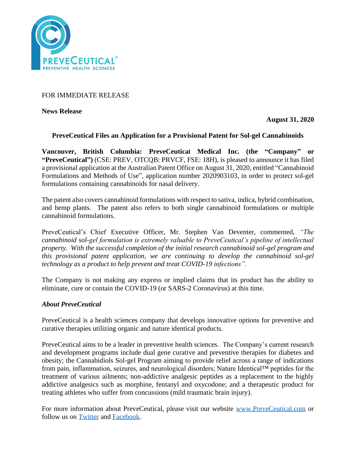

FOR IMMEDIATE RELEASE

**News Release** 

**August 31, 2020**

# **PreveCeutical Files an Application for a Provisional Patent for Sol-gel Cannabinoids**

**Vancouver, British Columbia: PreveCeutical Medical Inc. (the "Company" or "PreveCeutical")** (CSE: PREV, OTCQB: PRVCF, FSE: 18H), is pleased to announce it has filed a provisional application at the Australian Patent Office on August 31, 2020, entitled "Cannabinoid Formulations and Methods of Use", application number 2020903103, in order to protect sol-gel formulations containing cannabinoids for nasal delivery.

The patent also covers cannabinoid formulations with respect to sativa, indica, hybrid combination, and hemp plants. The patent also refers to both single cannabinoid formulations or multiple cannabinoid formulations.

PreveCeutical's Chief Executive Officer, Mr. Stephen Van Deventer, commented, *"The cannabinoid sol-gel formulation is extremely valuable to PreveCeutical's pipeline of intellectual property. With the successful completion of the initial research cannabinoid sol-gel program and this provisional patent application, we are continuing to develop the cannabinoid sol-gel technology as a product to help prevent and treat COVID-19 infections".*

The Company is not making any express or implied claims that its product has the ability to eliminate, cure or contain the COVID-19 (or SARS-2 Coronavirus) at this time.

# *About PreveCeutical*

PreveCeutical is a health sciences company that develops innovative options for preventive and curative therapies utilizing organic and nature identical products.

PreveCeutical aims to be a leader in preventive health sciences. The Company's current research and development programs include dual gene curative and preventive therapies for diabetes and obesity; the Cannabidiols Sol-gel Program aiming to provide relief across a range of indications from pain, inflammation, seizures, and neurological disorders; Nature Identical™ peptides for the treatment of various ailments; non-addictive analgesic peptides as a replacement to the highly addictive analgesics such as morphine, fentanyl and oxycodone; and a therapeutic product for treating athletes who suffer from concussions (mild traumatic brain injury).

For more information about PreveCeutical, please visit our website [www.PreveCeutical.com](http://www.preveceutical.com/) or follow us on [Twitter](http://twitter.com/PreveCeuticals) and [Facebook.](http://www.facebook.com/PreveCeutical)